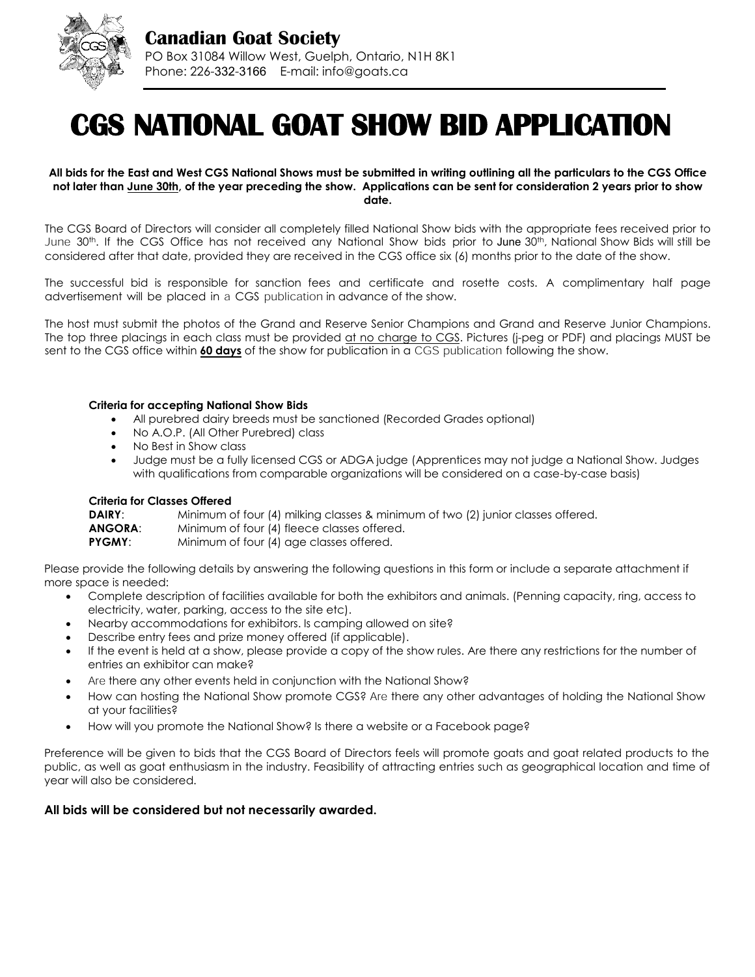

# **CGS NATIONAL GOAT SHOW BID APPLICATION**

**All bids for the East and West CGS National Shows must be submitted in writing outlining all the particulars to the CGS Office not later than June 30th, of the year preceding the show. Applications can be sent for consideration 2 years prior to show date.** 

The CGS Board of Directors will consider all completely filled National Show bids with the appropriate fees received prior to June 30th. If the CGS Office has not received any National Show bids prior to June 30th, National Show Bids will still be considered after that date, provided they are received in the CGS office six (6) months prior to the date of the show.

The successful bid is responsible for sanction fees and certificate and rosette costs. A complimentary half page advertisement will be placed in a CGS publication in advance of the show.

The host must submit the photos of the Grand and Reserve Senior Champions and Grand and Reserve Junior Champions. The top three placings in each class must be provided at no charge to CGS. Pictures (j-peg or PDF) and placings MUST be sent to the CGS office within **60 days** of the show for publication in a CGS publication following the show.

#### **Criteria for accepting National Show Bids**

- All purebred dairy breeds must be sanctioned (Recorded Grades optional)
- No A.O.P. (All Other Purebred) class
- No Best in Show class
- Judge must be a fully licensed CGS or ADGA judge (Apprentices may not judge a National Show. Judges with qualifications from comparable organizations will be considered on a case-by-case basis)

#### **Criteria for Classes Offered**

| <b>DAIRY:</b> | Minimum of four (4) milking classes & minimum of two (2) junior classes offered. |
|---------------|----------------------------------------------------------------------------------|
| ANGORA:       | Minimum of four (4) fleece classes offered.                                      |
| PYGMY:        | Minimum of four (4) age classes offered.                                         |

Please provide the following details by answering the following questions in this form or include a separate attachment if more space is needed:

- Complete description of facilities available for both the exhibitors and animals. (Penning capacity, ring, access to electricity, water, parking, access to the site etc).
- Nearby accommodations for exhibitors. Is camping allowed on site?
- Describe entry fees and prize money offered (if applicable).
- If the event is held at a show, please provide a copy of the show rules. Are there any restrictions for the number of entries an exhibitor can make?
- Are there any other events held in conjunction with the National Show?
- How can hosting the National Show promote CGS? Are there any other advantages of holding the National Show at your facilities?
- How will you promote the National Show? Is there a website or a Facebook page?

Preference will be given to bids that the CGS Board of Directors feels will promote goats and goat related products to the public, as well as goat enthusiasm in the industry. Feasibility of attracting entries such as geographical location and time of year will also be considered.

#### **All bids will be considered but not necessarily awarded.**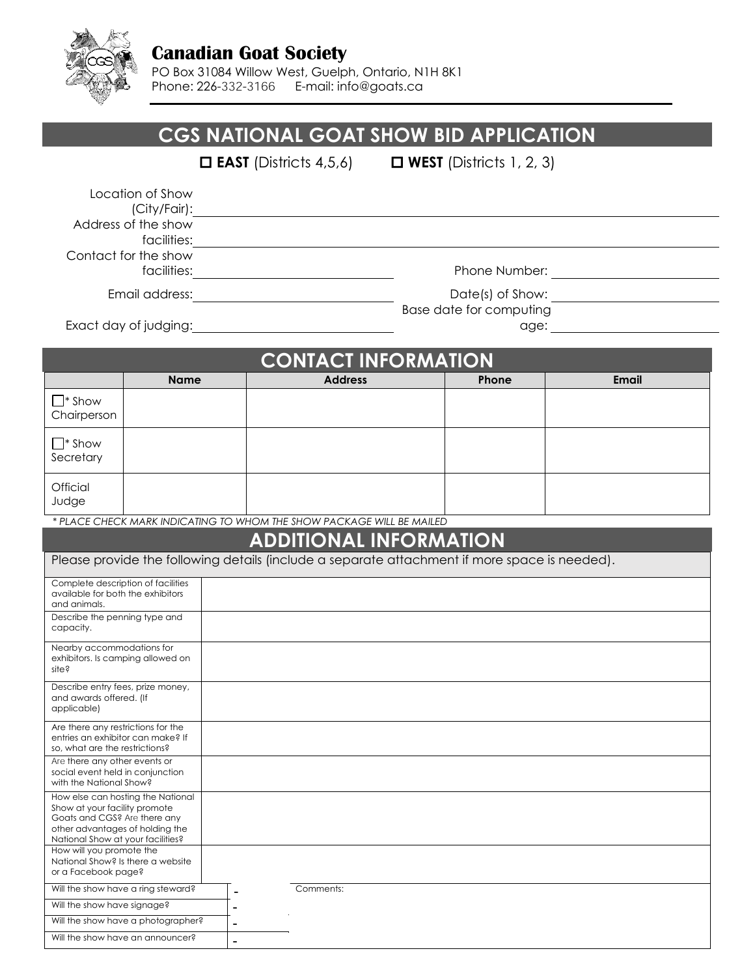

### **Canadian Goat Society**

PO Box 31084 Willow West, Guelph, Ontario, N1H 8K1 Phone: 226-332-3166 E-mail: info@goats.ca

|                                                                                                                                                                            |             | CGS NATIONAL GOAT SHOW BID APPLICATION                                                                                                                                                                                                                          |                               |       |       |  |
|----------------------------------------------------------------------------------------------------------------------------------------------------------------------------|-------------|-----------------------------------------------------------------------------------------------------------------------------------------------------------------------------------------------------------------------------------------------------------------|-------------------------------|-------|-------|--|
|                                                                                                                                                                            |             | $\Box$ EAST (Districts 4,5,6) $\Box$ WEST (Districts 1, 2, 3)                                                                                                                                                                                                   |                               |       |       |  |
| Location of Show<br>(City/Fair):<br>Address of the show                                                                                                                    |             |                                                                                                                                                                                                                                                                 |                               |       |       |  |
| facilities:<br>Contact for the show                                                                                                                                        |             |                                                                                                                                                                                                                                                                 |                               |       |       |  |
|                                                                                                                                                                            |             |                                                                                                                                                                                                                                                                 |                               |       |       |  |
|                                                                                                                                                                            |             | Email address: <u>contract and a series of the series of the series of the series of the series of the series of the series of the series of the series of the series of the series of the series of the series of the series of</u><br>Base date for computing |                               |       |       |  |
|                                                                                                                                                                            |             |                                                                                                                                                                                                                                                                 | <b>CONTACT INFORMATION</b>    |       |       |  |
|                                                                                                                                                                            | <b>Name</b> |                                                                                                                                                                                                                                                                 | <b>Address</b>                | Phone | Email |  |
| $\square^*$ Show<br>Chairperson                                                                                                                                            |             |                                                                                                                                                                                                                                                                 |                               |       |       |  |
| $\Box^*$ Show<br>Secretary                                                                                                                                                 |             |                                                                                                                                                                                                                                                                 |                               |       |       |  |
| <b>Official</b><br>Judge                                                                                                                                                   |             |                                                                                                                                                                                                                                                                 |                               |       |       |  |
| * PLACE CHECK MARK INDICATING TO WHOM THE SHOW PACKAGE WILL BE MAILED                                                                                                      |             |                                                                                                                                                                                                                                                                 |                               |       |       |  |
|                                                                                                                                                                            |             |                                                                                                                                                                                                                                                                 | <b>ADDITIONAL INFORMATION</b> |       |       |  |
| Please provide the following details (include a separate attachment if more space is needed).                                                                              |             |                                                                                                                                                                                                                                                                 |                               |       |       |  |
| Complete description of facilities<br>available for both the exhibitors<br>and animals.                                                                                    |             |                                                                                                                                                                                                                                                                 |                               |       |       |  |
| Describe the penning type and<br>capacity.                                                                                                                                 |             |                                                                                                                                                                                                                                                                 |                               |       |       |  |
| Nearby accommodations for<br>exhibitors. Is camping allowed on<br>site?                                                                                                    |             |                                                                                                                                                                                                                                                                 |                               |       |       |  |
| Describe entry fees, prize money,<br>and awards offered. (If<br>applicable)                                                                                                |             |                                                                                                                                                                                                                                                                 |                               |       |       |  |
| Are there any restrictions for the<br>entries an exhibitor can make? If<br>so, what are the restrictions?                                                                  |             |                                                                                                                                                                                                                                                                 |                               |       |       |  |
| Are there any other events or<br>social event held in conjunction<br>with the National Show?                                                                               |             |                                                                                                                                                                                                                                                                 |                               |       |       |  |
| How else can hosting the National<br>Show at your facility promote<br>Goats and CGS? Are there any<br>other advantages of holding the<br>National Show at your facilities? |             |                                                                                                                                                                                                                                                                 |                               |       |       |  |
| How will you promote the<br>National Show? Is there a website<br>or a Facebook page?                                                                                       |             |                                                                                                                                                                                                                                                                 |                               |       |       |  |
| Will the show have a ring steward?                                                                                                                                         |             | Comments:<br>$\overline{a}$                                                                                                                                                                                                                                     |                               |       |       |  |
| Will the show have signage?                                                                                                                                                |             |                                                                                                                                                                                                                                                                 |                               |       |       |  |
| Will the show have a photographer?                                                                                                                                         |             | $\overline{a}$                                                                                                                                                                                                                                                  |                               |       |       |  |
| Will the show have an announcer?                                                                                                                                           |             | $\blacksquare$                                                                                                                                                                                                                                                  |                               |       |       |  |